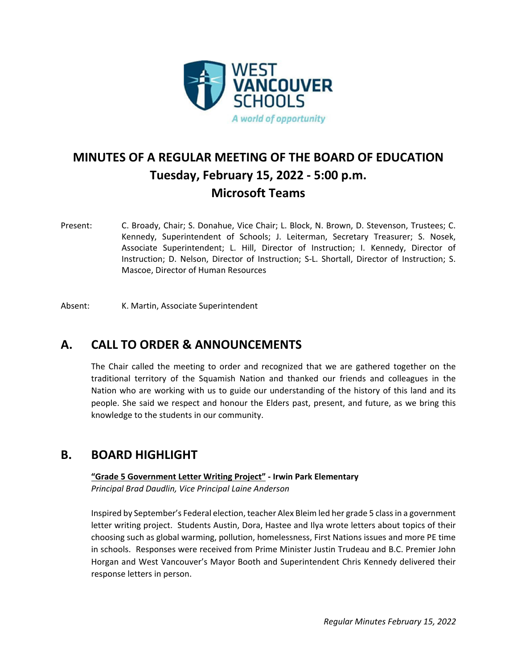

# **MINUTES OF A REGULAR MEETING OF THE BOARD OF EDUCATION Tuesday, February 15, 2022 ‐ 5:00 p.m. Microsoft Teams**

Present: C. Broady, Chair; S. Donahue, Vice Chair; L. Block, N. Brown, D. Stevenson, Trustees; C. Kennedy, Superintendent of Schools; J. Leiterman, Secretary Treasurer; S. Nosek, Associate Superintendent; L. Hill, Director of Instruction; I. Kennedy, Director of Instruction; D. Nelson, Director of Instruction; S‐L. Shortall, Director of Instruction; S. Mascoe, Director of Human Resources

Absent: K. Martin, Associate Superintendent

## **A. CALL TO ORDER & ANNOUNCEMENTS**

The Chair called the meeting to order and recognized that we are gathered together on the traditional territory of the Squamish Nation and thanked our friends and colleagues in the Nation who are working with us to guide our understanding of the history of this land and its people. She said we respect and honour the Elders past, present, and future, as we bring this knowledge to the students in our community.

### **B. BOARD HIGHLIGHT**

**"Grade 5 Government Letter Writing Project" ‐ Irwin Park Elementary** *Principal Brad Daudlin, Vice Principal Laine Anderson*

Inspired by September's Federal election, teacher Alex Bleim led her grade 5 classin a government letter writing project. Students Austin, Dora, Hastee and Ilya wrote letters about topics of their choosing such as global warming, pollution, homelessness, First Nations issues and more PE time in schools. Responses were received from Prime Minister Justin Trudeau and B.C. Premier John Horgan and West Vancouver's Mayor Booth and Superintendent Chris Kennedy delivered their response letters in person.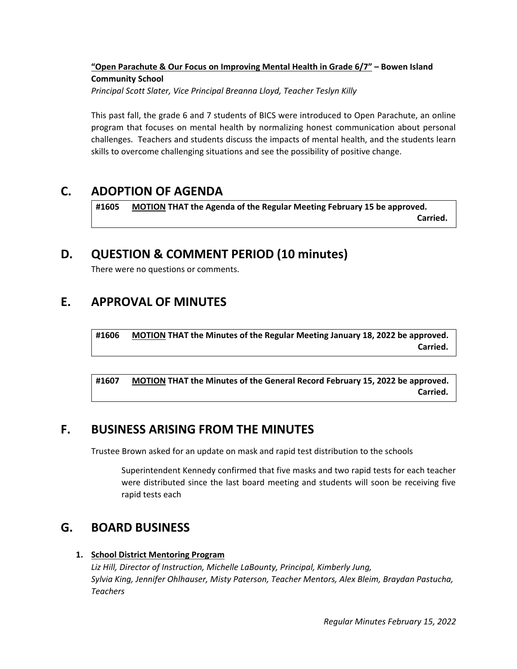#### **"Open Parachute & Our Focus on Improving Mental Health in Grade 6/7" – Bowen Island Community School** *Principal Scott Slater, Vice Principal Breanna Lloyd, Teacher Teslyn Killy*

This past fall, the grade 6 and 7 students of BICS were introduced to Open Parachute, an online program that focuses on mental health by normalizing honest communication about personal challenges. Teachers and students discuss the impacts of mental health, and the students learn skills to overcome challenging situations and see the possibility of positive change.

## **C. ADOPTION OF AGENDA**

**#1605 MOTION THAT the Agenda of the Regular Meeting February 15 be approved.**   $\blacksquare$ 

### **D. QUESTION & COMMENT PERIOD (10 minutes)**

There were no questions or comments.

## **E. APPROVAL OF MINUTES**

**#1606 MOTION THAT the Minutes of the Regular Meeting January 18, 2022 be approved.**   $Carried.$ 

**#1607 MOTION THAT the Minutes of the General Record February 15, 2022 be approved.**   $Carried.$ 

## **F. BUSINESS ARISING FROM THE MINUTES**

Trustee Brown asked for an update on mask and rapid test distribution to the schools

Superintendent Kennedy confirmed that five masks and two rapid tests for each teacher were distributed since the last board meeting and students will soon be receiving five rapid tests each

### **G. BOARD BUSINESS**

#### **1. School District Mentoring Program**

*Liz Hill, Director of Instruction, Michelle LaBounty, Principal, Kimberly Jung, Sylvia King, Jennifer Ohlhauser, Misty Paterson, Teacher Mentors, Alex Bleim, Braydan Pastucha, Teachers*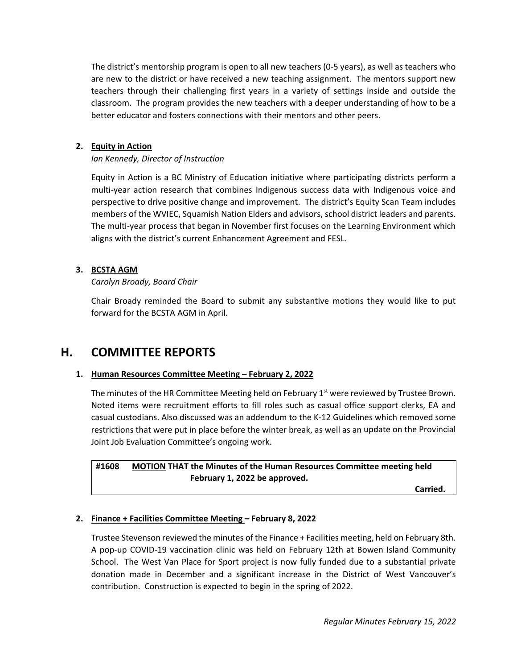The district's mentorship program is open to all new teachers (0‐5 years), as well as teachers who are new to the district or have received a new teaching assignment. The mentors support new teachers through their challenging first years in a variety of settings inside and outside the classroom. The program provides the new teachers with a deeper understanding of how to be a better educator and fosters connections with their mentors and other peers.

#### **2. Equity in Action**

#### *Ian Kennedy, Director of Instruction*

Equity in Action is a BC Ministry of Education initiative where participating districts perform a multi‐year action research that combines Indigenous success data with Indigenous voice and perspective to drive positive change and improvement. The district's Equity Scan Team includes members of the WVIEC, Squamish Nation Elders and advisors, school district leaders and parents. The multi-year process that began in November first focuses on the Learning Environment which aligns with the district's current Enhancement Agreement and FESL.

#### **3. BCSTA AGM**

#### *Carolyn Broady, Board Chair*

Chair Broady reminded the Board to submit any substantive motions they would like to put forward for the BCSTA AGM in April.

### **H. COMMITTEE REPORTS**

#### **1. Human Resources Committee Meeting – February 2, 2022**

The minutes of the HR Committee Meeting held on February  $1<sup>st</sup>$  were reviewed by Trustee Brown. Noted items were recruitment efforts to fill roles such as casual office support clerks, EA and casual custodians. Also discussed was an addendum to the K‐12 Guidelines which removed some restrictions that were put in place before the winter break, as well as an update on the Provincial Joint Job Evaluation Committee's ongoing work.

**#1608 MOTION THAT the Minutes of the Human Resources Committee meeting held February 1, 2022 be approved.** 

 $\blacksquare$ 

#### **2. Finance + Facilities Committee Meeting – February 8, 2022**

Trustee Stevenson reviewed the minutes of the Finance + Facilities meeting, held on February 8th. A pop‐up COVID‐19 vaccination clinic was held on February 12th at Bowen Island Community School. The West Van Place for Sport project is now fully funded due to a substantial private donation made in December and a significant increase in the District of West Vancouver's contribution. Construction is expected to begin in the spring of 2022.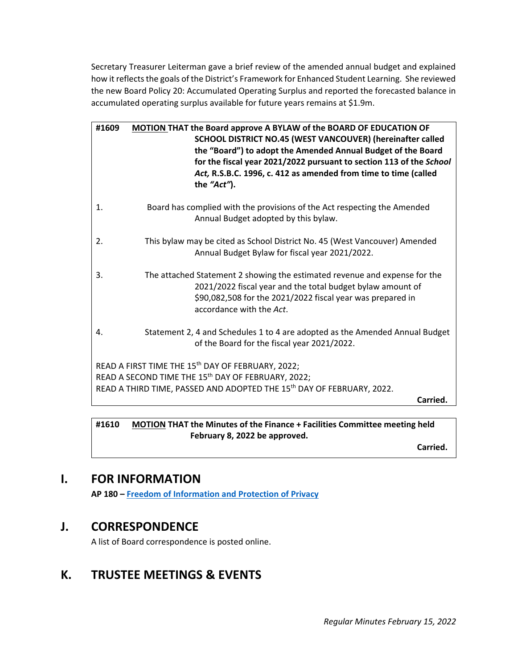Secretary Treasurer Leiterman gave a brief review of the amended annual budget and explained how it reflects the goals of the District's Framework for Enhanced Student Learning. She reviewed the new Board Policy 20: Accumulated Operating Surplus and reported the forecasted balance in accumulated operating surplus available for future years remains at \$1.9m.

| #1609                                                                                                                                                                                                                | <b>MOTION THAT the Board approve A BYLAW of the BOARD OF EDUCATION OF</b><br>SCHOOL DISTRICT NO.45 (WEST VANCOUVER) (hereinafter called<br>the "Board") to adopt the Amended Annual Budget of the Board<br>for the fiscal year 2021/2022 pursuant to section 113 of the School<br>Act, R.S.B.C. 1996, c. 412 as amended from time to time (called<br>the "Act"). |  |
|----------------------------------------------------------------------------------------------------------------------------------------------------------------------------------------------------------------------|------------------------------------------------------------------------------------------------------------------------------------------------------------------------------------------------------------------------------------------------------------------------------------------------------------------------------------------------------------------|--|
| 1.                                                                                                                                                                                                                   | Board has complied with the provisions of the Act respecting the Amended<br>Annual Budget adopted by this bylaw.                                                                                                                                                                                                                                                 |  |
| 2.                                                                                                                                                                                                                   | This bylaw may be cited as School District No. 45 (West Vancouver) Amended<br>Annual Budget Bylaw for fiscal year 2021/2022.                                                                                                                                                                                                                                     |  |
| 3.                                                                                                                                                                                                                   | The attached Statement 2 showing the estimated revenue and expense for the<br>2021/2022 fiscal year and the total budget bylaw amount of<br>\$90,082,508 for the 2021/2022 fiscal year was prepared in<br>accordance with the Act.                                                                                                                               |  |
| 4.                                                                                                                                                                                                                   | Statement 2, 4 and Schedules 1 to 4 are adopted as the Amended Annual Budget<br>of the Board for the fiscal year 2021/2022.                                                                                                                                                                                                                                      |  |
| READ A FIRST TIME THE 15 <sup>th</sup> DAY OF FEBRUARY, 2022;<br>READ A SECOND TIME THE 15 <sup>th</sup> DAY OF FEBRUARY, 2022;<br>READ A THIRD TIME, PASSED AND ADOPTED THE 15 <sup>th</sup> DAY OF FEBRUARY, 2022. |                                                                                                                                                                                                                                                                                                                                                                  |  |
|                                                                                                                                                                                                                      | Carried.                                                                                                                                                                                                                                                                                                                                                         |  |

**#1610 MOTION THAT the Minutes of the Finance + Facilities Committee meeting held February 8, 2022 be approved.** 

 $\blacksquare$ 

## **I. FOR INFORMATION**

**AP 180 – Freedom of Information and Protection of Privacy**

## **J. CORRESPONDENCE**

A list of Board correspondence is posted online.

# **K. TRUSTEE MEETINGS & EVENTS**